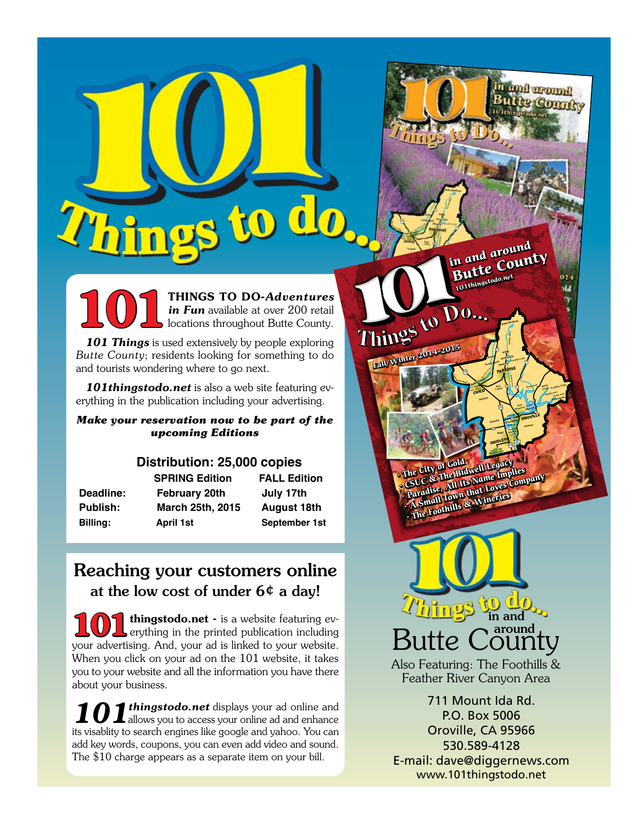**1011** THINGS TO DO-Adventures<br>in Fun available at over 200 retail<br>locations throughout Butte County. *in Fun* available at over 200 retail locations throughout Butte County.

101 Things is used extensively by people exploring *Butte County*; residents looking for something to do and tourists wondering where to go next.

*101thingstodo.net* is also a web site featuring everything in the publication including your advertising.

## *Make your reservation now to be part of the upcoming Editions*

# **Distribution: 25,000 copies**

| Deadline:       |
|-----------------|
| <b>Publish:</b> |
| Billing:        |

February 20th July 17th **Publish: March 25th, 2015 August 18th**

**SPRING Edition FALL Edition Billing: April 1st September 1st**

# Reaching your customers online at the low cost of under  $6¢$  a day!

thingstodo.net - is a website featuring everything in the printed publication including your advertising. And, your ad is linked to your website. When you click on your ad on the 101 website, it takes you to your website and all the information you have there about your business.

101thingstodo.net displays your ad online and allows you to access your online ad and enhance its visablity to search engines like google and yahoo. You can add key words, coupons, you can even add video and sound. The \$10 charge appears as a separate item on your bill.

**SHE City of Gold Legacy**<br>• CSUC & The Bidwell Legacy<br>• CSUC & All Its Name Imples The City of The Bidwey Implies<br>CSUC & The Bidwey Implies<br>**Paradise, AM Its Name Company**<br>Paradist Town that Loves Company<br>Paradist Amills & Wineries **A Small Town Lines**<br>**A Small Town Lines**<br>**The Foothills & Wineries** 

99

*<sup>S</sup>acrament<sup>o</sup> <sup>R</sup>ive<sup>r</sup>* **Ca. State University Collection** CHICO Colors

162

Gray Lodge **Wildlife area GRIDLEY** *Feather River*

99

**Cohasset Inskip Stirling City Forest Ranch**

*Big Chico Creek*

**Durham**

**Bidwell Park**

OROVILL

**Table Mountain** *Forebay Afterbay* **Richvale Thermalito Palermo**

**OROVILLE** 

*Lake Oroville*

*North Fork Middle Fork South Fork* **Berry Creek Forbestown** 

nd around **Le Commit** 

**Feather Falls**

99

**Biggs Oroville Wildlife area**

70

**Butte County in and around**

**Butte Meadows**

**Magazine Lake**<br> **Magazine Cay**<br> **Magazine Lake**<br> **Feather River** 

*West Branch*

**PARADISE** 

**101thingstodo.net**

**Fall/Winter 2014-2015** 

<u>hings</u> in and around Butte

Also Featuring: The Foothills & Feather River Canyon Area

711 Mount Ida Rd. P.O. Box 5006 Oroville, CA 95966 530.589-4128 E-mail: dave@diggernews.com www.101thingstodo.net